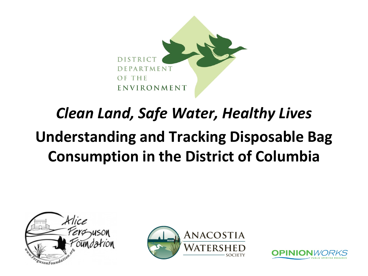

# *Clean Land, Safe Water, Healthy Lives* **Understanding and Tracking Disposable Bag Consumption in the District of Columbia**





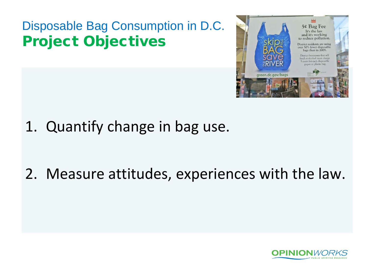# Disposable Bag Consumption in D.C. Project Objectives



1. Quantify change in bag use.

# 2. Measure attitudes, experiences with the law.

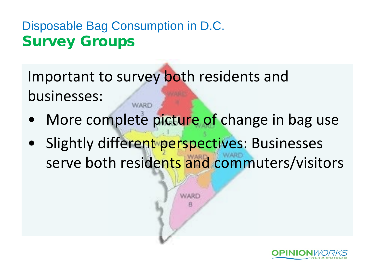### Disposable Bag Consumption in D.C. Survey Groups

Important to survey both residents and businesses: **WARD** 

- More complete picture of change in bag use
- Slightly different perspectives: Businesses serve both residents and commuters/visitors

**WARD** 

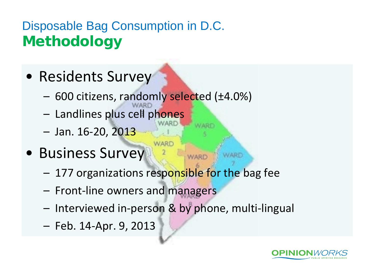# Disposable Bag Consumption in D.C. **Methodology**

- Residents Survey
	- 600 citizens, randomly selected (±4.0%)
	- Landlines plus cell phones
	- Jan. 16-20, 2013
- Business Survey
	- 177 organizations responsible for the bag fee

VARD

**WARD** 

- Front-line owners and managers
- Interviewed in-person & by phone, multi-lingual
- Feb. 14-Apr. 9, 2013

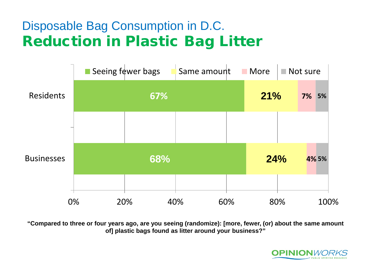### Disposable Bag Consumption in D.C. Reduction in Plastic Bag Litter



**"Compared to three or four years ago, are you seeing (randomize): [more, fewer, (or) about the same amount of] plastic bags found as litter around your business?"** 

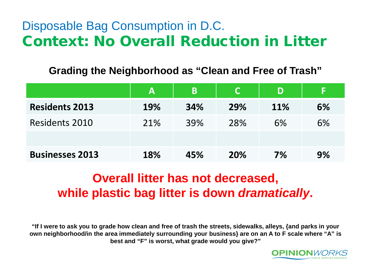### Disposable Bag Consumption in D.C. Context: No Overall Reduction in Litter

**Grading the Neighborhood as "Clean and Free of Trash"** 

|                        | Α   | B   |     | D   | F  |
|------------------------|-----|-----|-----|-----|----|
| <b>Residents 2013</b>  | 19% | 34% | 29% | 11% | 6% |
| Residents 2010         | 21% | 39% | 28% | 6%  | 6% |
|                        |     |     |     |     |    |
| <b>Businesses 2013</b> | 18% | 45% | 20% | 7%  | 9% |

### **Overall litter has not decreased, while plastic bag litter is down** *dramatically***.**

**"If I were to ask you to grade how clean and free of trash the streets, sidewalks, alleys, {and parks in your own neighborhood/in the area immediately surrounding your business} are on an A to F scale where "A" is best and "F" is worst, what grade would you give?"**

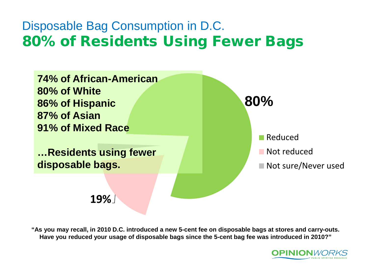### Disposable Bag Consumption in D.C. 80% of Residents Using Fewer Bags



**"As you may recall, in 2010 D.C. introduced a new 5-cent fee on disposable bags at stores and carry-outs. Have you reduced your usage of disposable bags since the 5-cent bag fee was introduced in 2010?"**

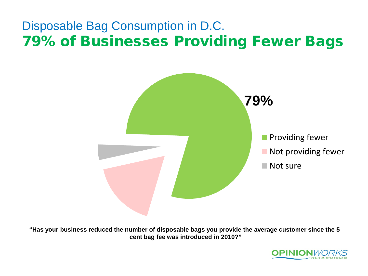### Disposable Bag Consumption in D.C. 79% of Businesses Providing Fewer Bags



**"Has your business reduced the number of disposable bags you provide the average customer since the 5 cent bag fee was introduced in 2010?"**

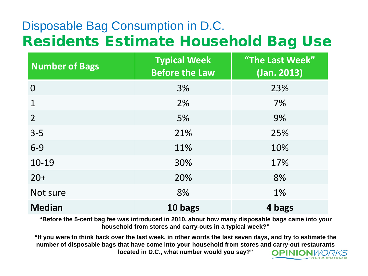### Disposable Bag Consumption in D.C. Residents Estimate Household Bag Use

| <b>Number of Bags</b> | <b>Typical Week</b><br><b>Before the Law</b> | "The Last Week"<br>(Jan. 2013) |
|-----------------------|----------------------------------------------|--------------------------------|
| 0                     | 3%                                           | 23%                            |
| 1                     | 2%                                           | 7%                             |
| $\overline{2}$        | 5%                                           | 9%                             |
| $3 - 5$               | 21%                                          | 25%                            |
| $6-9$                 | 11%                                          | 10%                            |
| 10-19                 | 30%                                          | 17%                            |
| $20+$                 | 20%                                          | 8%                             |
| Not sure              | 8%                                           | 1%                             |
| <b>Median</b>         | 10 bags                                      | 4 bags                         |

**"Before the 5-cent bag fee was introduced in 2010, about how many disposable bags came into your household from stores and carry-outs in a typical week?"**

**"If you were to think back over the last week, in other words the last seven days, and try to estimate the number of disposable bags that have come into your household from stores and carry-out restaurants located in D.C., what number would you say?" OPINION**WORKS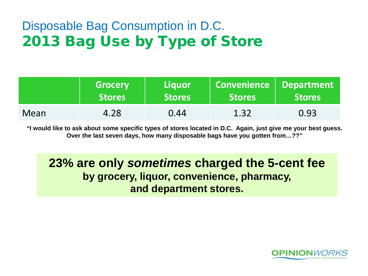### Disposable Bag Consumption in D.C. 2013 Bag Use by Type of Store

|      | <b>Grocery</b><br><b>Stores</b> | Liauor<br><b>Stores</b> | Convenience   Department<br><b>Stores</b> | Stores |  |
|------|---------------------------------|-------------------------|-------------------------------------------|--------|--|
| Mean | 4.28                            | 0.44                    | 1.32                                      | 0.93   |  |

**"I would like to ask about some specific types of stores located in D.C. Again, just give me your best guess. Over the last seven days, how many disposable bags have you gotten from…??"**

**23% are only** *sometimes* **charged the 5-cent fee by grocery, liquor, convenience, pharmacy, and department stores.**

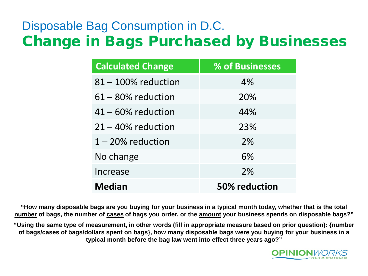### Disposable Bag Consumption in D.C. Change in Bags Purchased by Businesses

| <b>Calculated Change</b> | % of Businesses |
|--------------------------|-----------------|
| $81 - 100\%$ reduction   | 4%              |
| $61 - 80\%$ reduction    | 20%             |
| $41 - 60\%$ reduction    | 44%             |
| $21 - 40\%$ reduction    | 23%             |
| $1 - 20\%$ reduction     | 2%              |
| No change                | 6%              |
| Increase                 | 2%              |
| <b>Median</b>            | 50% reduction   |

**"How many disposable bags are you buying for your business in a typical month today, whether that is the total number of bags, the number of cases of bags you order, or the amount your business spends on disposable bags?"**

**"Using the same type of measurement, in other words (fill in appropriate measure based on prior question): {number of bags/cases of bags/dollars spent on bags}, how many disposable bags were you buying for your business in a typical month before the bag law went into effect three years ago?"**

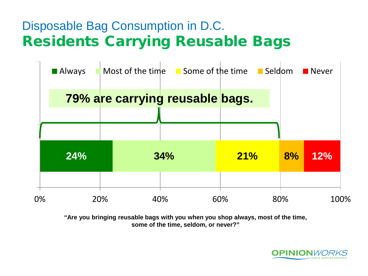### Disposable Bag Consumption in D.C. Residents Carrying Reusable Bags

|    | <b>Always</b> |                                 | Most of the time $\blacksquare$ Some of the time $\blacksquare$ Seldom |     |     | $\blacksquare$ Never |
|----|---------------|---------------------------------|------------------------------------------------------------------------|-----|-----|----------------------|
|    |               | 79% are carrying reusable bags. |                                                                        |     |     |                      |
|    |               |                                 |                                                                        |     |     |                      |
|    | 24%           |                                 | 34%                                                                    | 21% | 8%  | 12%                  |
| 0% |               | 20%<br>40%                      |                                                                        | 60% | 80% | 100%                 |

**"Are you bringing reusable bags with you when you shop always, most of the time, some of the time, seldom, or never?"** 

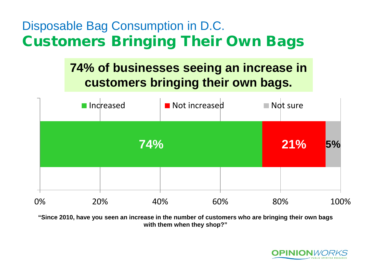### Disposable Bag Consumption in D.C. Customers Bringing Their Own Bags

### **74% of businesses seeing an increase in customers bringing their own bags.**



**"Since 2010, have you seen an increase in the number of customers who are bringing their own bags with them when they shop?"** 

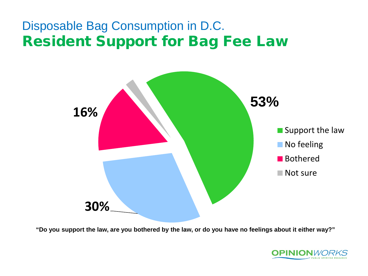### Disposable Bag Consumption in D.C. Resident Support for Bag Fee Law



**"Do you support the law, are you bothered by the law, or do you have no feelings about it either way?"**

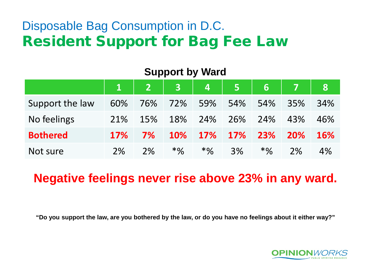### Disposable Bag Consumption in D.C. Resident Support for Bag Fee Law

|                 | $\mathbf{1}$ | $\vert 2 \vert \vert$ |            | 3 4 5      |            | $6-1$  | 7   | <b>81</b>  |
|-----------------|--------------|-----------------------|------------|------------|------------|--------|-----|------------|
| Support the law | 60%          | 76%                   | 72%        | 59%        | 54%        | 54%    | 35% | 34%        |
| No feelings     | 21%          | 15%                   | 18%        | 24%        | 26%        | 24%    | 43% | 46%        |
| <b>Bothered</b> | <b>17%</b>   | 7%                    | <b>10%</b> | <b>17%</b> | <b>17%</b> | 23%    | 20% | <b>16%</b> |
| Not sure        | 2%           | 2%                    | $*9/0$     | $*9/6$     | 3%         | $*9/6$ | 2%  | 4%         |

#### **Support by Ward**

### **Negative feelings never rise above 23% in any ward.**

**"Do you support the law, are you bothered by the law, or do you have no feelings about it either way?"**

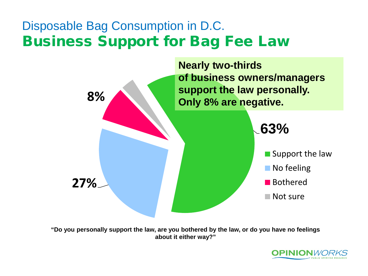### Disposable Bag Consumption in D.C. Business Support for Bag Fee Law



**"Do you personally support the law, are you bothered by the law, or do you have no feelings about it either way?"**

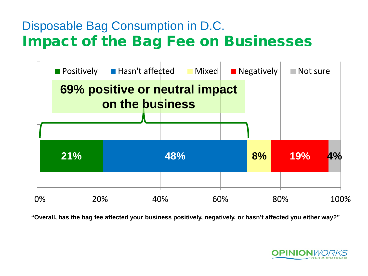### Disposable Bag Consumption in D.C. Impact of the Bag Fee on Businesses



**"Overall, has the bag fee affected your business positively, negatively, or hasn't affected you either way?"** 

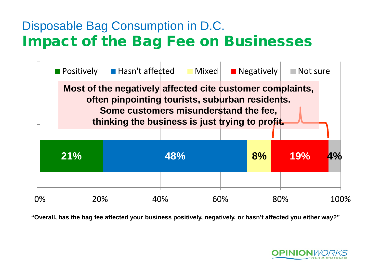### Disposable Bag Consumption in D.C. Impact of the Bag Fee on Businesses



**"Overall, has the bag fee affected your business positively, negatively, or hasn't affected you either way?"** 

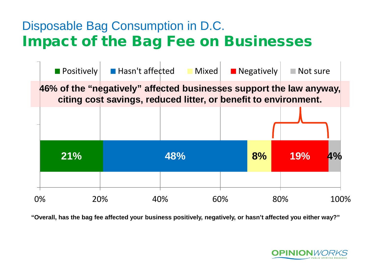### Disposable Bag Consumption in D.C. Impact of the Bag Fee on Businesses



**"Overall, has the bag fee affected your business positively, negatively, or hasn't affected you either way?"** 

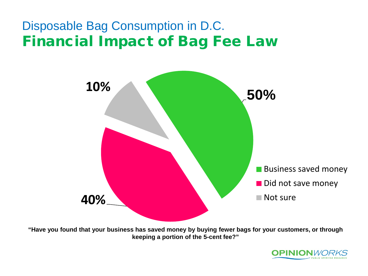### Disposable Bag Consumption in D.C. Financial Impact of Bag Fee Law



**"Have you found that your business has saved money by buying fewer bags for your customers, or through keeping a portion of the 5-cent fee?"**

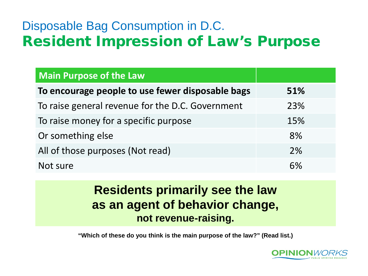### Disposable Bag Consumption in D.C. Resident Impression of Law's Purpose

| <b>Main Purpose of the Law</b>                   |     |
|--------------------------------------------------|-----|
| To encourage people to use fewer disposable bags | 51% |
| To raise general revenue for the D.C. Government | 23% |
| To raise money for a specific purpose            | 15% |
| Or something else                                | 8%  |
| All of those purposes (Not read)                 | 2%  |
| Not sure                                         | 6%  |

### **Residents primarily see the law as an agent of behavior change, not revenue-raising.**

**"Which of these do you think is the main purpose of the law?" (Read list.)**

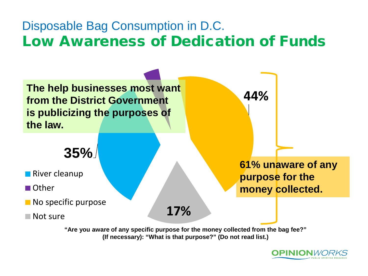### Disposable Bag Consumption in D.C. Low Awareness of Dedication of Funds



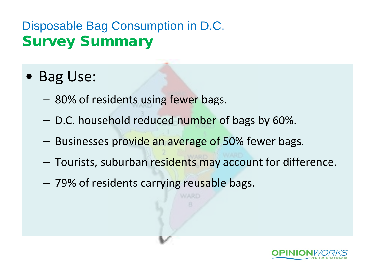### Disposable Bag Consumption in D.C. Survey Summary

- Bag Use:
	- 80% of residents using fewer bags.
	- D.C. household reduced number of bags by 60%.
	- Businesses provide an average of 50% fewer bags.
	- Tourists, suburban residents may account for difference.
	- 79% of residents carrying reusable bags.

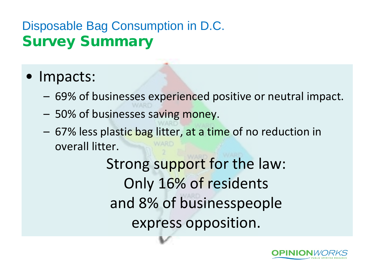### Disposable Bag Consumption in D.C. Survey Summary

### • Impacts:

- 69% of businesses experienced positive or neutral impact.
- 50% of businesses saving money.
- 67% less plastic bag litter, at a time of no reduction in overall litter.

Strong support for the law: Only 16% of residents and 8% of businesspeople express opposition.